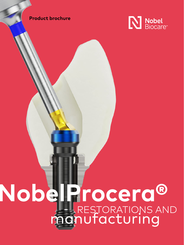#### **Product brochure**



# **NobelProcera®** RESTORATIONS AND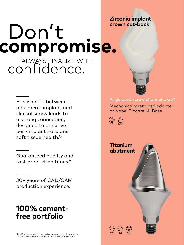# Don't **compromise.** ALWAYS FINALIZE WITH<br>CONTIDENCE. **Zirconia implant crown cut-back**

Precision fit between abutment, implant and clinical screw leads to a strong connection, designed to preserve peri-implant hard and soft tissue health.<sup>1,2</sup>

Guaranteed quality and fast production times.\*

30+ years of CAD/CAM production experience.

## **100% cementfree portfolio**

#### Angulated screw channel 0-25°

Mechanically retained adapter or Nobel Biocare N1 Base

CC TCC

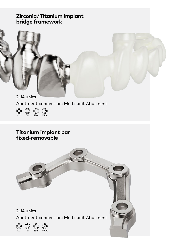#### **Zirconia/Titanium implant bridge framework**

2-14 units Abutment connection: Multi-unit Abutment

CC Tri Ext MUA

#### **Titanium implant bar fixed-removable**